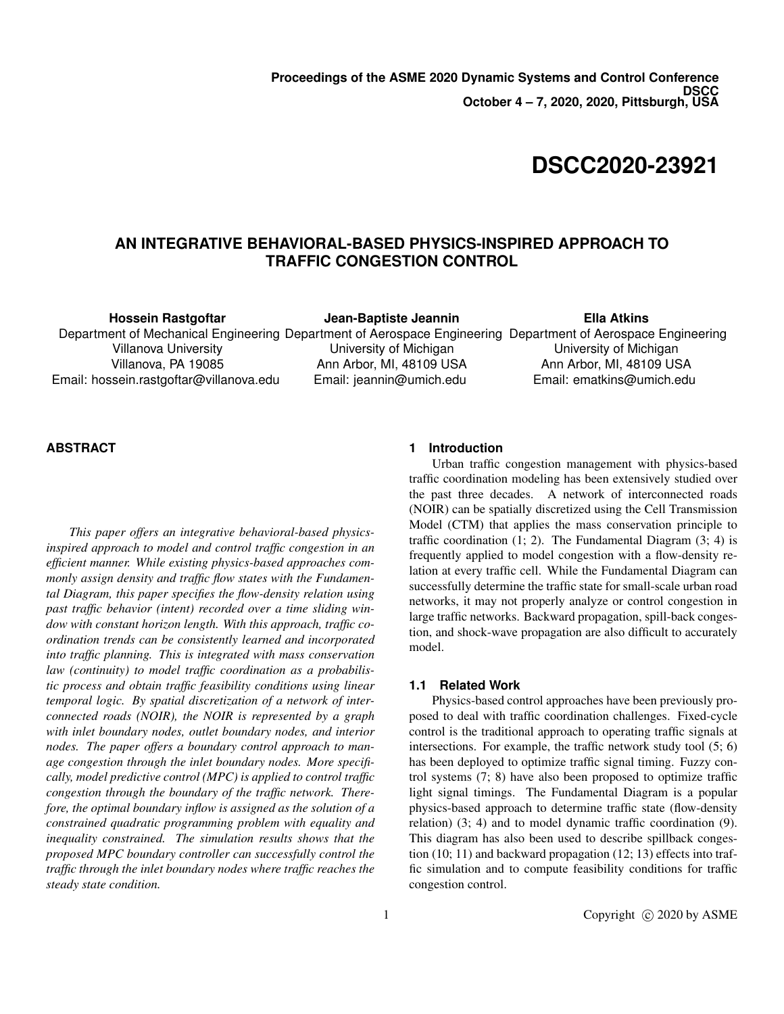# **DSCC2020-23921**

## **AN INTEGRATIVE BEHAVIORAL-BASED PHYSICS-INSPIRED APPROACH TO TRAFFIC CONGESTION CONTROL**

**Hossein Rastgoftar**

**Jean-Baptiste Jeannin**

Department of Mechanical Engineering Department of Aerospace Engineering Department of Aerospace Engineering Villanova University Villanova, PA 19085 Email: hossein.rastgoftar@villanova.edu

University of Michigan Ann Arbor, MI, 48109 USA Email: jeannin@umich.edu **Ella Atkins**

University of Michigan Ann Arbor, MI, 48109 USA Email: ematkins@umich.edu

## **ABSTRACT**

*This paper offers an integrative behavioral-based physicsinspired approach to model and control traffic congestion in an efficient manner. While existing physics-based approaches commonly assign density and traffic flow states with the Fundamental Diagram, this paper specifies the flow-density relation using past traffic behavior (intent) recorded over a time sliding window with constant horizon length. With this approach, traffic coordination trends can be consistently learned and incorporated into traffic planning. This is integrated with mass conservation law (continuity) to model traffic coordination as a probabilistic process and obtain traffic feasibility conditions using linear temporal logic. By spatial discretization of a network of interconnected roads (NOIR), the NOIR is represented by a graph with inlet boundary nodes, outlet boundary nodes, and interior nodes. The paper offers a boundary control approach to manage congestion through the inlet boundary nodes. More specifically, model predictive control (MPC) is applied to control traffic congestion through the boundary of the traffic network. Therefore, the optimal boundary inflow is assigned as the solution of a constrained quadratic programming problem with equality and inequality constrained. The simulation results shows that the proposed MPC boundary controller can successfully control the traffic through the inlet boundary nodes where traffic reaches the steady state condition.*

## **1 Introduction**

Urban traffic congestion management with physics-based traffic coordination modeling has been extensively studied over the past three decades. A network of interconnected roads (NOIR) can be spatially discretized using the Cell Transmission Model (CTM) that applies the mass conservation principle to traffic coordination  $(1; 2)$ . The Fundamental Diagram  $(3; 4)$  is frequently applied to model congestion with a flow-density relation at every traffic cell. While the Fundamental Diagram can successfully determine the traffic state for small-scale urban road networks, it may not properly analyze or control congestion in large traffic networks. Backward propagation, spill-back congestion, and shock-wave propagation are also difficult to accurately model.

### **1.1 Related Work**

Physics-based control approaches have been previously proposed to deal with traffic coordination challenges. Fixed-cycle control is the traditional approach to operating traffic signals at intersections. For example, the traffic network study tool (5; 6) has been deployed to optimize traffic signal timing. Fuzzy control systems (7; 8) have also been proposed to optimize traffic light signal timings. The Fundamental Diagram is a popular physics-based approach to determine traffic state (flow-density relation) (3; 4) and to model dynamic traffic coordination (9). This diagram has also been used to describe spillback congestion (10; 11) and backward propagation (12; 13) effects into traffic simulation and to compute feasibility conditions for traffic congestion control.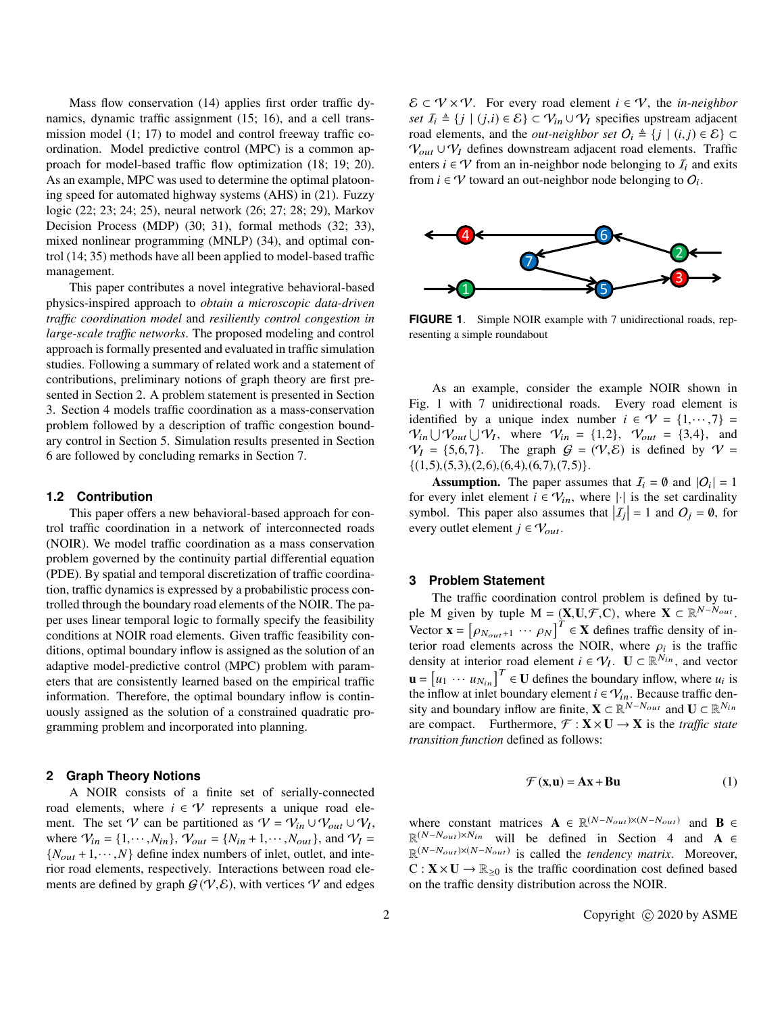Mass flow conservation (14) applies first order traffic dynamics, dynamic traffic assignment (15; 16), and a cell transmission model (1; 17) to model and control freeway traffic coordination. Model predictive control (MPC) is a common approach for model-based traffic flow optimization (18; 19; 20). As an example, MPC was used to determine the optimal platooning speed for automated highway systems (AHS) in (21). Fuzzy logic (22; 23; 24; 25), neural network (26; 27; 28; 29), Markov Decision Process (MDP) (30; 31), formal methods (32; 33), mixed nonlinear programming (MNLP) (34), and optimal control (14; 35) methods have all been applied to model-based traffic management.

This paper contributes a novel integrative behavioral-based physics-inspired approach to *obtain a microscopic data-driven traffic coordination model* and *resiliently control congestion in large-scale traffic networks*. The proposed modeling and control approach is formally presented and evaluated in traffic simulation studies. Following a summary of related work and a statement of contributions, preliminary notions of graph theory are first presented in Section 2. A problem statement is presented in Section 3. Section 4 models traffic coordination as a mass-conservation problem followed by a description of traffic congestion boundary control in Section 5. Simulation results presented in Section 6 are followed by concluding remarks in Section 7.

#### **1.2 Contribution**

This paper offers a new behavioral-based approach for control traffic coordination in a network of interconnected roads (NOIR). We model traffic coordination as a mass conservation problem governed by the continuity partial differential equation (PDE). By spatial and temporal discretization of traffic coordination, traffic dynamics is expressed by a probabilistic process controlled through the boundary road elements of the NOIR. The paper uses linear temporal logic to formally specify the feasibility conditions at NOIR road elements. Given traffic feasibility conditions, optimal boundary inflow is assigned as the solution of an adaptive model-predictive control (MPC) problem with parameters that are consistently learned based on the empirical traffic information. Therefore, the optimal boundary inflow is continuously assigned as the solution of a constrained quadratic programming problem and incorporated into planning.

#### **2 Graph Theory Notions**

A NOIR consists of a finite set of serially-connected road elements, where  $i \in V$  represents a unique road element. The set V can be partitioned as  $V = V_{in} \cup V_{out} \cup V_I$ , where  $V_{in} = \{1, \dots, N_{in}\}\$ ,  $V_{out} = \{N_{in} + 1, \dots, N_{out}\}\$ , and  $V_I =$ <br> $\{N_{out} + 1, \dots, N\}$  define index numbers of inlet, outlet, and inte- $\{N_{out}+1,\cdots,N\}$  define index numbers of inlet, outlet, and interior road elements, respectively. Interactions between road elements are defined by graph  $G(V, \mathcal{E})$ , with vertices V and edges  $\mathcal{E} \subset \mathcal{V} \times \mathcal{V}$ . For every road element  $i \in \mathcal{V}$ , the *in-neighbor set*  $I_i$  ≜ {*j* | (*j*,*i*) ∈  $\mathcal{E}$ } ⊂  $\mathcal{V}_{in} \cup \mathcal{V}_I$  specifies upstream adjacent road elements, and the *out-neighbor set*  $O_i \triangleq \{j \mid (i,j) \in \mathcal{E}\}\subset$  $V_{out} \cup V_I$  defines downstream adjacent road elements. Traffic enters  $i \in V$  from an in-neighbor node belonging to  $I_i$  and exits from  $i \in V$  toward an out-neighbor node belonging to  $O_i$ .



**FIGURE 1.** Simple NOIR example with 7 unidirectional roads, representing a simple roundabout

As an example, consider the example NOIR shown in Fig. 1 with 7 unidirectional roads. Every road element is identified by a unique index number  $i \in \mathcal{V} = \{1, \dots, 7\}$  $V_{in} \bigcup V_{out} \bigcup V_1$ , where  $V_{in} = \{1,2\}$ ,  $V_{out} = \{3,4\}$ , and  $V_1 = \{5,6,7\}$ . The graph  $G = (V, \mathcal{E})$  is defined by  $V =$  $V_I = \{5,6,7\}$ . The graph  $G = (V, \mathcal{E})$  is defined by  $V =$  $\{(1,5),(5,3),(2,6),(6,4),(6,7),(7,5)\}.$ 

**Assumption.** The paper assumes that  $I_i = \emptyset$  and  $|O_i| = 1$ for every inlet element  $i \in V_{in}$ , where  $|\cdot|$  is the set cardinality symbol. This paper also assumes that  $|I_j| = 1$  and  $O_j = \emptyset$ , for every outlet element  $j \in V_{out}$ .

#### **3 Problem Statement**

The traffic coordination control problem is defined by tuple M given by tuple  $M = (\mathbf{X}, \mathbf{U}, \mathcal{F}, \mathbf{C})$ , where  $\mathbf{X} \subset \mathbb{R}^{N-N_{out}}$ . Vector  $\mathbf{x} = [\rho_{N_{out}+1} \cdots \rho_N]^T \in \mathbf{X}$  defines traffic density of interior road elements across the NOIR, where  $\rho$  is the traffic terior road elements across the NOIR, where  $\rho_i$  is the traffic<br>density at interior road element  $i \in \mathcal{V}$ .  $\mathbf{U} \subset \mathbb{R}^{N_{in}}$  and vector density at interior road element  $i \in V_I$ .  $\mathbf{U} \subset \mathbb{R}^{N_{in}}$ , and vector  $\mathbf{u} = \begin{bmatrix} u_1 & \cdots & u_{N_{in}} \end{bmatrix}^T \in \mathbf{U}$  defines the boundary inflow, where  $u_i$  is the inflow at inlet boundary element  $i \in V_{in}$ . Because traffic density and boundary inflow are finite,  $X \subset \mathbb{R}^{N-N_{out}}$  and  $U \subset \mathbb{R}^{N_{in}}$ are compact. Furthermore,  $\mathcal{F} : \mathbf{X} \times \mathbf{U} \rightarrow \mathbf{X}$  is the *traffic state transition function* defined as follows:

$$
\mathcal{F}(\mathbf{x}, \mathbf{u}) = \mathbf{A}\mathbf{x} + \mathbf{B}\mathbf{u}
$$
 (1)

where constant matrices  $\mathbf{A} \in \mathbb{R}^{(N-N_{out})\times (N-N_{out})}$  and  $\mathbf{B} \in$  $\mathbb{R}^{(N-N_{out})\times N_{in}}$  will be defined in Section 4 and **A** ∈  $\mathbb{R}^{(N-N_{out})\times(N-N_{out})}$  is called the *tendency matrix*. Moreover,  $C: X \times U \rightarrow \mathbb{R}_{\geq 0}$  is the traffic coordination cost defined based on the traffic density distribution across the NOIR.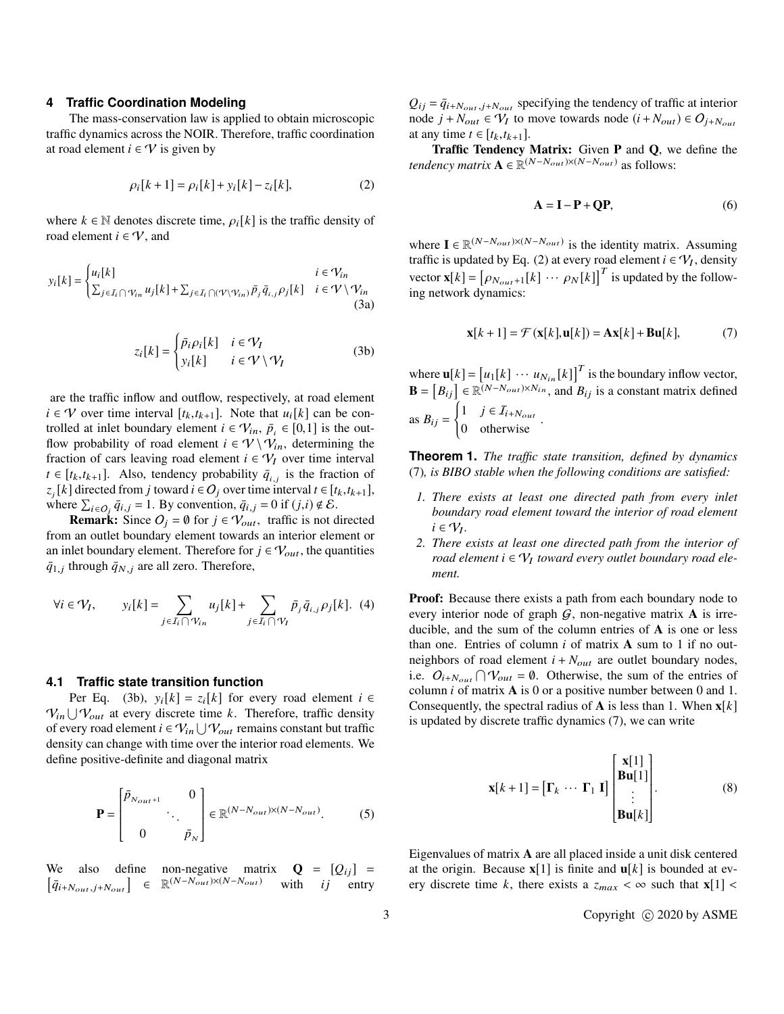#### **4 Traffic Coordination Modeling**

The mass-conservation law is applied to obtain microscopic traffic dynamics across the NOIR. Therefore, traffic coordination at road element *i* ∈  $\mathcal V$  is given by

$$
\rho_i[k+1] = \rho_i[k] + y_i[k] - z_i[k],
$$
\n(2)

where  $k \in \mathbb{N}$  denotes discrete time,  $\rho_i[k]$  is the traffic density of road element  $i \in \mathcal{V}$ , and

$$
y_i[k] = \begin{cases} u_i[k] & i \in \mathcal{V}_{in} \\ \sum_{j \in I_i \cap \mathcal{V}_{in}} u_j[k] + \sum_{j \in I_i \cap (\mathcal{V} \setminus \mathcal{V}_{in})} \bar{p}_j \bar{q}_{i,j} \rho_j[k] & i \in \mathcal{V} \setminus \mathcal{V}_{in} \end{cases}
$$
(3a)

$$
z_i[k] = \begin{cases} \bar{p}_i \rho_i[k] & i \in \mathcal{V}_I \\ y_i[k] & i \in \mathcal{V} \setminus \mathcal{V}_I \end{cases}
$$
 (3b)

are the traffic inflow and outflow, respectively, at road element *i* ∈ *V* over time interval [ $t_k$ , $t_{k+1}$ ]. Note that  $u_i[k]$  can be controlled at inlet boundary element  $i \in V_{in}$ ,  $\bar{p}_i \in [0,1]$  is the out-<br>flow probability of road element  $i \in V \setminus V$ , determining the flow probability of road element  $i \in \mathcal{V} \backslash \mathcal{V}_{in}$ , determining the fraction of cars leaving road element  $i \in V_I$  over time interval  $t \in [t_k, t_{k+1}]$ . Also, tendency probability  $\bar{q}_{i,j}$  is the fraction of  $\bar{z}$  [*k*] directed from *i* toward  $i \in \Omega$ , over time interval  $t \in [t, t_{k+1}]$ .  $z_j[k]$  directed from *j* toward  $i \in O_j$  over time interval  $t \in [t_k, t_{k+1}],$ <br>where  $\sum_{i \in \mathcal{I}} \bar{a}_{i,j} = 1$ . By convention  $\bar{a}_{i,j} = 0$  if  $(i, j) \notin \mathcal{E}$ . where  $\sum_{i \in O_j} \bar{q}_{i,j} = 1$ . By convention,  $\bar{q}_{i,j} = 0$  if  $(j,i) \notin \mathcal{E}$ .<br>**Remark:** Since  $Q_i = \emptyset$  for  $i \in \mathcal{U}$ , traffic is not dented.

**Remark:** Since  $O_j = \emptyset$  for  $j \in V_{out}$ , traffic is not directed from an outlet boundary element towards an interior element or an inlet boundary element. Therefore for  $j \in V_{out}$ , the quantities  $\bar{q}_{1,j}$  through  $\bar{q}_{N,j}$  are all zero. Therefore,

$$
\forall i \in \mathcal{V}_I, \qquad y_i[k] = \sum_{j \in \mathcal{I}_i \cap \mathcal{V}_{in}} u_j[k] + \sum_{j \in \mathcal{I}_i \cap \mathcal{V}_I} \bar{p}_j \bar{q}_{i,j} \rho_j[k]. \tag{4}
$$

#### **4.1 Traffic state transition function**

Per Eq. (3b),  $y_i[k] = z_i[k]$  for every road element  $i \in$  $V_{in} \bigcup V_{out}$  at every discrete time *k*. Therefore, traffic density of every road element  $i \in V_{in} \bigcup V_{out}$  remains constant but traffic density can change with time over the interior road elements. We define positive-definite and diagonal matrix

$$
\mathbf{P} = \begin{bmatrix} \bar{p}_{N_{out}+1} & 0 \\ 0 & \bar{p}_N \end{bmatrix} \in \mathbb{R}^{(N - N_{out}) \times (N - N_{out})}. \tag{5}
$$

We also define non-negative matrix  $\mathbf{Q} = [Q_{ij}] = [\bar{q}_{i+N_{out}}] \times [N - N_{out}) \times (N - N_{out})$  with *ij* entry  $\bar{q}_{i+N_{out},j+N_{out}}$   $\in \mathbb{R}^{(N-N_{out})\times (N-N_{out})}$  with *ij* entry

 $Q_{ij} = \bar{q}_{i+N_{out},j+N_{out}}$  specifying the tendency of traffic at interior node  $j + N_{out} \in V_I$  to move towards node  $(i + N_{out}) \in O_{j+N_{out}}$ at any time  $t \in [t_k, t_{k+1}].$ 

Traffic Tendency Matrix: Given **P** and **Q**, we define the *tendency matrix*  $\mathbf{A} \in \mathbb{R}^{(N-N_{out}) \times (N-N_{out})}$  as follows:

$$
\mathbf{A} = \mathbf{I} - \mathbf{P} + \mathbf{Q}\mathbf{P},\tag{6}
$$

where  $\mathbf{I} \in \mathbb{R}^{(N-N_{out}) \times (N-N_{out})}$  is the identity matrix. Assuming traffic is updated by Eq. (2) at every road element  $i \in V_I$ , density vector  $\mathbf{x}[k] = [\rho_{N_{out}+1}[k] \cdots \rho_N[k]]^T$  is updated by the following network dynamics:

$$
\mathbf{x}[k+1] = \mathcal{F}(\mathbf{x}[k], \mathbf{u}[k]) = \mathbf{A}\mathbf{x}[k] + \mathbf{B}\mathbf{u}[k],\tag{7}
$$

where  $\mathbf{u}[k] = [u_1[k] \cdots u_{N_{in}}[k]]^T$  is the boundary inflow vector,  $\mathbf{B} = [B_{ij}] \in \mathbb{R}^{\bar{(N-N_{out})} \times N_{in}}$ , and  $B_{ij}$  is a constant matrix defined as  $B_{ij} =$  $\int 1 \quad j \in I_{i+N_{out}}$ 0 otherwise

**Theorem 1.** *The traffic state transition, defined by dynamics* (7)*, is BIBO stable when the following conditions are satisfied:*

- *1. There exists at least one directed path from every inlet boundary road element toward the interior of road element*  $i \in V_I$ .
- *2. There exists at least one directed path from the interior of road element i* ∈ V<sup>I</sup> *toward every outlet boundary road element.*

Proof: Because there exists a path from each boundary node to every interior node of graph  $G$ , non-negative matrix  $A$  is irreducible, and the sum of the column entries of **A** is one or less than one. Entries of column *i* of matrix **A** sum to 1 if no outneighbors of road element  $i + N_{out}$  are outlet boundary nodes, i.e.  $O_{i+N_{out}} \bigcap V_{out} = \emptyset$ . Otherwise, the sum of the entries of column *i* of matrix **A** is 0 or a positive number between 0 and 1. Consequently, the spectral radius of **A** is less than 1. When **x**[*k*] is updated by discrete traffic dynamics (7), we can write

$$
\mathbf{x}[k+1] = [\mathbf{\Gamma}_k \cdots \mathbf{\Gamma}_1 \mathbf{I}] \begin{bmatrix} \mathbf{x}[1] \\ \mathbf{B}\mathbf{u}[1] \\ \vdots \\ \mathbf{B}\mathbf{u}[k] \end{bmatrix} . \tag{8}
$$

Eigenvalues of matrix **A** are all placed inside a unit disk centered at the origin. Because  $\mathbf{x}[1]$  is finite and  $\mathbf{u}[k]$  is bounded at every discrete time k, there exists a  $z_{max} < \infty$  such that **x**[1] <

3 Copyright (c) 2020 by ASME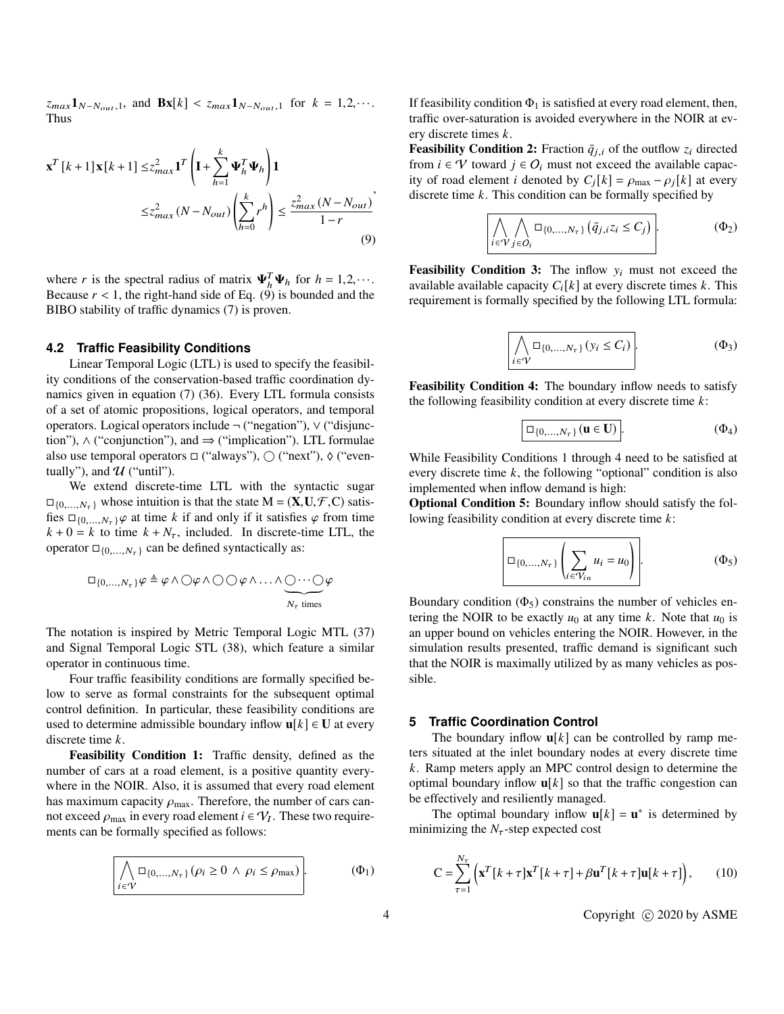$z_{max} \mathbf{1}_{N-N_{out},1}$ , and  $\mathbf{Bx}[k] < z_{max} \mathbf{1}_{N-N_{out},1}$  for  $k = 1,2,\cdots$ . Thus

$$
\mathbf{x}^{T} [k+1] \mathbf{x} [k+1] \le z_{max}^{2} \mathbf{1}^{T} \left( \mathbf{I} + \sum_{h=1}^{k} \mathbf{\Psi}_{h}^{T} \mathbf{\Psi}_{h} \right) \mathbf{1}
$$
  

$$
\le z_{max}^{2} (N - N_{out}) \left( \sum_{h=0}^{k} r^{h} \right) \le \frac{z_{max}^{2} (N - N_{out})}{1 - r}
$$
  
(9)

where *r* is the spectral radius of matrix  $\Psi_h^T \Psi_h$  for  $h = 1, 2, \cdots$ .<br>Because  $r < 1$  the right-hand side of Eq. (9) is bounded and the Because  $r < 1$ , the right-hand side of Eq.  $(9)$  is bounded and the BIBO stability of traffic dynamics (7) is proven.

#### **4.2 Traffic Feasibility Conditions**

Linear Temporal Logic (LTL) is used to specify the feasibility conditions of the conservation-based traffic coordination dynamics given in equation (7) (36). Every LTL formula consists of a set of atomic propositions, logical operators, and temporal operators. Logical operators include ¬ ("negation"), ∨ ("disjunction"),  $\wedge$  ("conjunction"), and  $\Rightarrow$  ("implication"). LTL formulae also use temporal operators  $\Box$  ("always"),  $\bigcirc$  ("next"),  $\Diamond$  ("eventually"), and  $\mathcal U$  ("until").

We extend discrete-time LTL with the syntactic sugar  $\Box_{\{0,\ldots,N_{\tau}\}}$  whose intuition is that the state  $M = (\mathbf{X}, \mathbf{U}, \mathcal{F}, \mathbf{C})$  satisfies  $\square_{\{0,\ldots,N_{\tau}\}}\varphi$  at time *k* if and only if it satisfies  $\varphi$  from time  $k + 0 = k$  to time  $k + N<sub>\tau</sub>$ , included. In discrete-time LTL, the operator  $\square_{\{0,\ldots,N_{\tau}\}}$  can be defined syntactically as:

$$
\Box_{\{0,\ldots,N_{\tau}\}}\varphi \triangleq \varphi \land \bigcirc \varphi \land \bigcirc \bigcirc \varphi \land \ldots \land \bigcirc \cdots \bigcirc \varphi
$$
  

$$
N_{\tau} \text{ times}
$$

The notation is inspired by Metric Temporal Logic MTL (37) and Signal Temporal Logic STL (38), which feature a similar operator in continuous time.

Four traffic feasibility conditions are formally specified below to serve as formal constraints for the subsequent optimal control definition. In particular, these feasibility conditions are used to determine admissible boundary inflow  $\mathbf{u}[k] \in \mathbf{U}$  at every discrete time *k*.

Feasibility Condition 1: Traffic density, defined as the number of cars at a road element, is a positive quantity everywhere in the NOIR. Also, it is assumed that every road element has maximum capacity  $\rho_{\text{max}}$ . Therefore, the number of cars cannot exceed  $\rho_{\text{max}}$  in every road element  $i \in V_I$ . These two require-<br>ments can be formally specified as follows: ments can be formally specified as follows:

$$
\left\{\bigwedge_{i\in\mathcal{V}}\Box_{\{0,\dots,N_{\tau}\}}(\rho_i\geq 0 \,\wedge\,\rho_i\leq \rho_{\max})\right\}.\tag{4.1}
$$

If feasibility condition  $\Phi_1$  is satisfied at every road element, then, traffic over-saturation is avoided everywhere in the NOIR at every discrete times *k*.

**Feasibility Condition 2:** Fraction  $\bar{q}_{j,i}$  of the outflow  $z_i$  directed from  $i \in \mathcal{V}$  toward  $j \in O_i$  must not exceed the available capacity of road element *i* denoted by  $C_j[k] = \rho_{\text{max}} - \rho_j[k]$  at every discrete time *k*. This condition can be formally specified by

$$
\left[\bigwedge_{i \in \mathcal{V}} \bigwedge_{j \in O_i} \Box_{\{0,\dots,N_{\tau}\}} \left(\bar{q}_{j,i} z_i \leq C_j\right)\right].
$$
 (Φ<sub>2</sub>)

**Feasibility Condition 3:** The inflow  $y_i$  must not exceed the available available capacity  $C_i[k]$  at every discrete times *k*. This requirement is formally specified by the following LTL formula:

$$
\left| \bigwedge_{i \in \mathcal{V}} \Box_{\{0,\dots,N_{\tau}\}} (y_i \leq C_i) \right| \tag{ \Phi_3 }
$$

Feasibility Condition 4: The boundary inflow needs to satisfy the following feasibility condition at every discrete time *k*:

$$
\boxed{\Box_{\{0,\ldots,N_{\tau}\}}(\mathbf{u}\in\mathbf{U})}.\tag{4.1}
$$

While Feasibility Conditions 1 through 4 need to be satisfied at every discrete time *k*, the following "optional" condition is also implemented when inflow demand is high:

Optional Condition 5: Boundary inflow should satisfy the following feasibility condition at every discrete time *k*:

$$
\left|\Box_{\{0,\ldots,N_{\tau}\}}\left(\sum_{i\in\mathcal{V}_{in}}u_{i}=u_{0}\right)\right|.\tag{ \Phi_5}
$$

Boundary condition  $(\Phi_5)$  constrains the number of vehicles entering the NOIR to be exactly  $u_0$  at any time *k*. Note that  $u_0$  is an upper bound on vehicles entering the NOIR. However, in the simulation results presented, traffic demand is significant such that the NOIR is maximally utilized by as many vehicles as possible.

#### **5 Traffic Coordination Control**

The boundary inflow  $\mathbf{u}[k]$  can be controlled by ramp meters situated at the inlet boundary nodes at every discrete time *k*. Ramp meters apply an MPC control design to determine the optimal boundary inflow  $\mathbf{u}[k]$  so that the traffic congestion can be effectively and resiliently managed.

The optimal boundary inflow  $\mathbf{u}[k] = \mathbf{u}^*$  is determined by minimizing the  $N_{\tau}$ -step expected cost

$$
C = \sum_{\tau=1}^{N_{\tau}} \left( \mathbf{x}^{T} [k + \tau] \mathbf{x}^{T} [k + \tau] + \beta \mathbf{u}^{T} [k + \tau] \mathbf{u} [k + \tau] \right), \qquad (10)
$$

4 Copyright (C) 2020 by ASME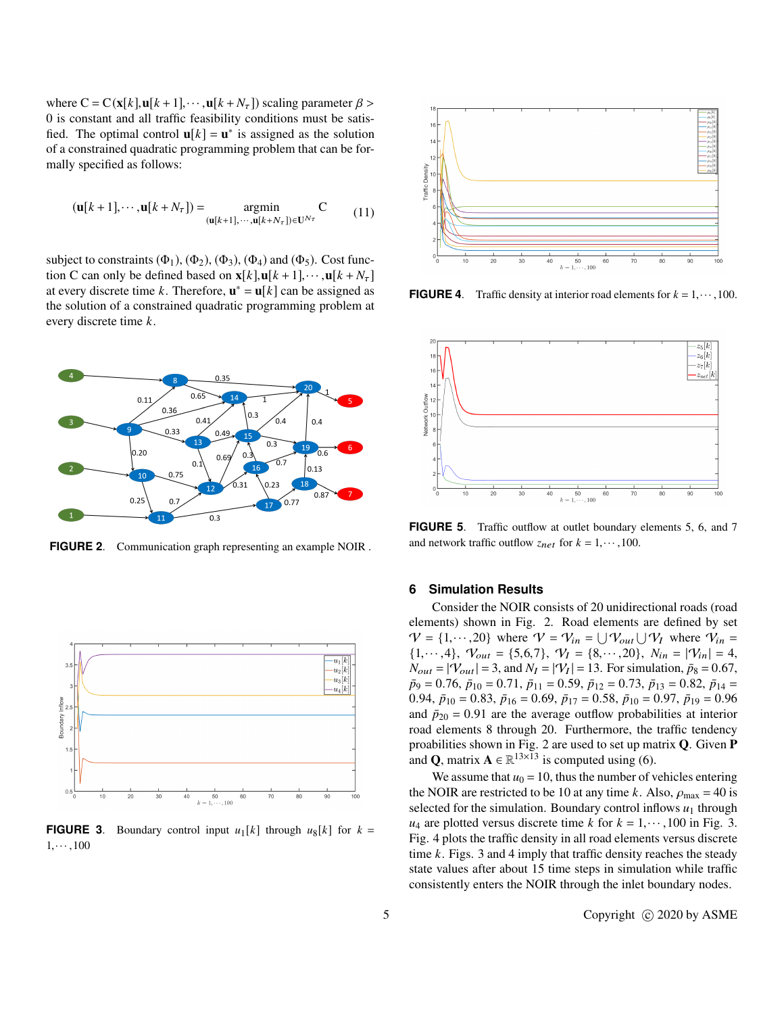where  $C = C(\mathbf{x}[k], \mathbf{u}[k+1], \cdots, \mathbf{u}[k+N_{\tau}])$  scaling parameter  $\beta$ 0 is constant and all traffic feasibility conditions must be satisfied. The optimal control  $\mathbf{u}[k] = \mathbf{u}^*$  is assigned as the solution of a constrained quadratic programming problem that can be formally specified as follows:

$$
(\mathbf{u}[k+1], \cdots, \mathbf{u}[k+N_{\tau}]) = \operatorname*{argmin}_{(\mathbf{u}[k+1], \cdots, \mathbf{u}[k+N_{\tau}]) \in \mathbf{U}^{N_{\tau}}} \mathbf{C}
$$
(11)

subject to constraints  $(\Phi_1)$ ,  $(\Phi_2)$ ,  $(\Phi_3)$ ,  $(\Phi_4)$  and  $(\Phi_5)$ . Cost function C can only be defined based on  $\mathbf{x}[k], \mathbf{u}[k+1], \cdots, \mathbf{u}[k+N_{\tau}]$ at every discrete time *k*. Therefore,  $\mathbf{u}^* = \mathbf{u}[k]$  can be assigned as the solution of a constrained quadratic programming problem at every discrete time *k*.



**FIGURE 2**. Communication graph representing an example NOIR .



**FIGURE 3**. Boundary control input  $u_1[k]$  through  $u_8[k]$  for  $k =$  $1, \cdots, 100$ 



**FIGURE 4**. Traffic density at interior road elements for  $k = 1, \dots, 100$ .



**FIGURE 5**. Traffic outflow at outlet boundary elements 5, 6, and 7 and network traffic outflow  $z_{net}$  for  $k = 1, \dots, 100$ .

#### **6 Simulation Results**

Consider the NOIR consists of 20 unidirectional roads (road elements) shown in Fig. 2. Road elements are defined by set  $V = \{1, \dots, 20\}$  where  $V = V_{in} = \bigcup V_{out} \bigcup V_I$  where  $V_{in} = \{1, \dots, 4\}$   $V = \{5, 6, 7\}$   $V = \{8, \dots, 20\}$   $N = \{9, -12\}$  ${1, \dots, 4}, \quad V_{out} = {5, 6, 7}, \quad V_I = {8, \dots, 20}, \quad N_{in} = |\mathcal{V}_{in}| = 4,$  $N_{out} = |\mathcal{V}_{out}| = 3$ , and  $N_I = |\mathcal{V}_I| = 13$ . For simulation,  $\bar{p}_8 = 0.67$ ,<br> $\bar{p}_9 = 0.76$ ,  $\bar{p}_{19} = 0.71$ ,  $\bar{p}_{11} = 0.59$ ,  $\bar{p}_{12} = 0.73$ ,  $\bar{p}_{13} = 0.82$ ,  $\bar{p}_{14} =$  $\bar{p}_9 = 0.76$ ,  $\bar{p}_{10} = 0.71$ ,  $\bar{p}_{11} = 0.59$ ,  $\bar{p}_{12} = 0.73$ ,  $\bar{p}_{13} = 0.82$ ,  $\bar{p}_{14} =$ 0.94,  $\bar{p}_{10} = 0.83$ ,  $\bar{p}_{16} = 0.69$ ,  $\bar{p}_{17} = 0.58$ ,  $\bar{p}_{10} = 0.97$ ,  $\bar{p}_{19} = 0.96$ and  $\bar{p}_{20} = 0.91$  are the average outflow probabilities at interior road elements 8 through 20. Furthermore, the traffic tendency proabilities shown in Fig. 2 are used to set up matrix **Q**. Given **P** and **Q**, matrix  $A \in \mathbb{R}^{13 \times \overline{13}}$  is computed using (6).

We assume that  $u_0 = 10$ , thus the number of vehicles entering the NOIR are restricted to be 10 at any time *k*. Also,  $\rho_{\text{max}} = 40$  is selected for the simulation. Boundary control inflows  $u_1$  through  $u_4$  are plotted versus discrete time *k* for  $k = 1, \dots, 100$  in Fig. 3. Fig. 4 plots the traffic density in all road elements versus discrete time *k*. Figs. 3 and 4 imply that traffic density reaches the steady state values after about 15 time steps in simulation while traffic consistently enters the NOIR through the inlet boundary nodes.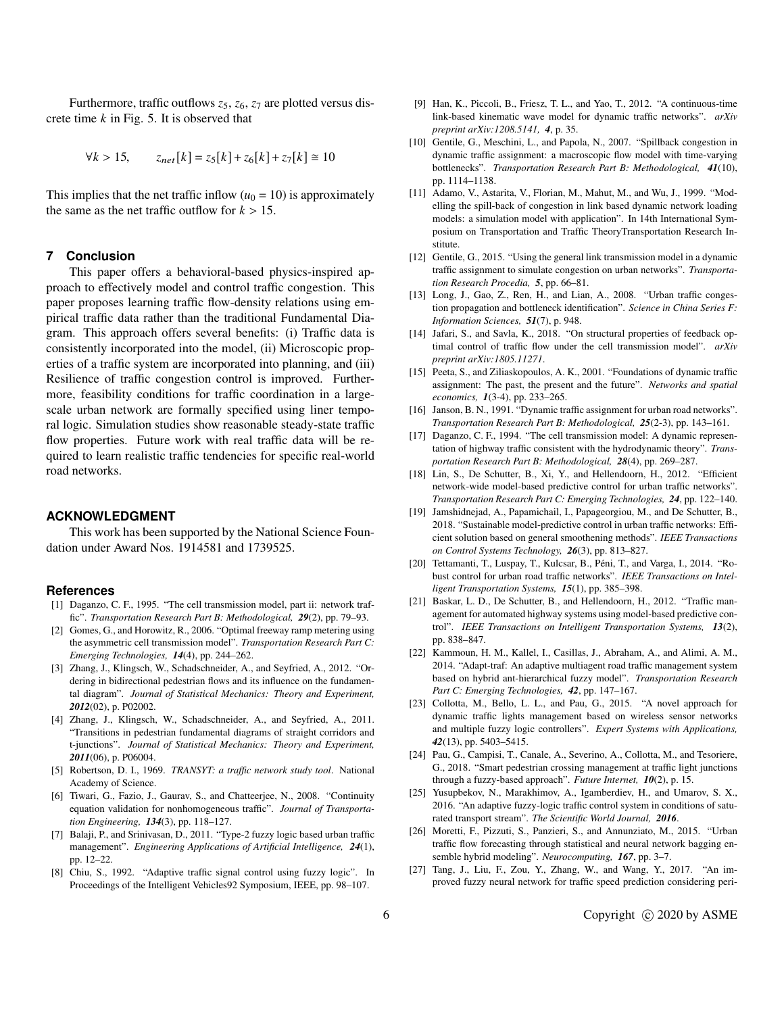Furthermore, traffic outflows  $z_5$ ,  $z_6$ ,  $z_7$  are plotted versus discrete time *k* in Fig. 5. It is observed that

$$
\forall k > 15
$$
,  $z_{net}[k] = z_5[k] + z_6[k] + z_7[k] \approx 10$ 

This implies that the net traffic inflow  $(u_0 = 10)$  is approximately the same as the net traffic outflow for  $k > 15$ .

## **7 Conclusion**

This paper offers a behavioral-based physics-inspired approach to effectively model and control traffic congestion. This paper proposes learning traffic flow-density relations using empirical traffic data rather than the traditional Fundamental Diagram. This approach offers several benefits: (i) Traffic data is consistently incorporated into the model, (ii) Microscopic properties of a traffic system are incorporated into planning, and (iii) Resilience of traffic congestion control is improved. Furthermore, feasibility conditions for traffic coordination in a largescale urban network are formally specified using liner temporal logic. Simulation studies show reasonable steady-state traffic flow properties. Future work with real traffic data will be required to learn realistic traffic tendencies for specific real-world road networks.

#### **ACKNOWLEDGMENT**

This work has been supported by the National Science Foundation under Award Nos. 1914581 and 1739525.

#### **References**

- [1] Daganzo, C. F., 1995. "The cell transmission model, part ii: network traffic". *Transportation Research Part B: Methodological, 29*(2), pp. 79–93.
- [2] Gomes, G., and Horowitz, R., 2006. "Optimal freeway ramp metering using the asymmetric cell transmission model". *Transportation Research Part C: Emerging Technologies, 14*(4), pp. 244–262.
- [3] Zhang, J., Klingsch, W., Schadschneider, A., and Seyfried, A., 2012. "Ordering in bidirectional pedestrian flows and its influence on the fundamental diagram". *Journal of Statistical Mechanics: Theory and Experiment, 2012*(02), p. P02002.
- [4] Zhang, J., Klingsch, W., Schadschneider, A., and Seyfried, A., 2011. "Transitions in pedestrian fundamental diagrams of straight corridors and t-junctions". *Journal of Statistical Mechanics: Theory and Experiment, 2011*(06), p. P06004.
- [5] Robertson, D. I., 1969. *TRANSYT: a traffic network study tool*. National Academy of Science.
- [6] Tiwari, G., Fazio, J., Gaurav, S., and Chatteerjee, N., 2008. "Continuity equation validation for nonhomogeneous traffic". *Journal of Transportation Engineering, 134*(3), pp. 118–127.
- [7] Balaji, P., and Srinivasan, D., 2011. "Type-2 fuzzy logic based urban traffic management". *Engineering Applications of Artificial Intelligence, 24*(1), pp. 12–22.
- [8] Chiu, S., 1992. "Adaptive traffic signal control using fuzzy logic". In Proceedings of the Intelligent Vehicles92 Symposium, IEEE, pp. 98–107.
- [9] Han, K., Piccoli, B., Friesz, T. L., and Yao, T., 2012. "A continuous-time link-based kinematic wave model for dynamic traffic networks". *arXiv preprint arXiv:1208.5141, 4*, p. 35.
- [10] Gentile, G., Meschini, L., and Papola, N., 2007. "Spillback congestion in dynamic traffic assignment: a macroscopic flow model with time-varying bottlenecks". *Transportation Research Part B: Methodological, 41*(10), pp. 1114–1138.
- [11] Adamo, V., Astarita, V., Florian, M., Mahut, M., and Wu, J., 1999. "Modelling the spill-back of congestion in link based dynamic network loading models: a simulation model with application". In 14th International Symposium on Transportation and Traffic TheoryTransportation Research Institute.
- [12] Gentile, G., 2015. "Using the general link transmission model in a dynamic traffic assignment to simulate congestion on urban networks". *Transportation Research Procedia, 5*, pp. 66–81.
- [13] Long, J., Gao, Z., Ren, H., and Lian, A., 2008. "Urban traffic congestion propagation and bottleneck identification". *Science in China Series F: Information Sciences, 51*(7), p. 948.
- [14] Jafari, S., and Savla, K., 2018. "On structural properties of feedback optimal control of traffic flow under the cell transmission model". *arXiv preprint arXiv:1805.11271*.
- [15] Peeta, S., and Ziliaskopoulos, A. K., 2001. "Foundations of dynamic traffic assignment: The past, the present and the future". *Networks and spatial economics, 1*(3-4), pp. 233–265.
- [16] Janson, B. N., 1991. "Dynamic traffic assignment for urban road networks". *Transportation Research Part B: Methodological, 25*(2-3), pp. 143–161.
- [17] Daganzo, C. F., 1994. "The cell transmission model: A dynamic representation of highway traffic consistent with the hydrodynamic theory". *Transportation Research Part B: Methodological, 28*(4), pp. 269–287.
- [18] Lin, S., De Schutter, B., Xi, Y., and Hellendoorn, H., 2012. "Efficient network-wide model-based predictive control for urban traffic networks". *Transportation Research Part C: Emerging Technologies, 24*, pp. 122–140.
- [19] Jamshidnejad, A., Papamichail, I., Papageorgiou, M., and De Schutter, B., 2018. "Sustainable model-predictive control in urban traffic networks: Efficient solution based on general smoothening methods". *IEEE Transactions on Control Systems Technology, 26*(3), pp. 813–827.
- [20] Tettamanti, T., Luspay, T., Kulcsar, B., Péni, T., and Varga, I., 2014. "Robust control for urban road traffic networks". *IEEE Transactions on Intelligent Transportation Systems, 15*(1), pp. 385–398.
- [21] Baskar, L. D., De Schutter, B., and Hellendoorn, H., 2012. "Traffic management for automated highway systems using model-based predictive control". *IEEE Transactions on Intelligent Transportation Systems, 13*(2), pp. 838–847.
- [22] Kammoun, H. M., Kallel, I., Casillas, J., Abraham, A., and Alimi, A. M., 2014. "Adapt-traf: An adaptive multiagent road traffic management system based on hybrid ant-hierarchical fuzzy model". *Transportation Research Part C: Emerging Technologies, 42*, pp. 147–167.
- [23] Collotta, M., Bello, L. L., and Pau, G., 2015. "A novel approach for dynamic traffic lights management based on wireless sensor networks and multiple fuzzy logic controllers". *Expert Systems with Applications, 42*(13), pp. 5403–5415.
- [24] Pau, G., Campisi, T., Canale, A., Severino, A., Collotta, M., and Tesoriere, G., 2018. "Smart pedestrian crossing management at traffic light junctions through a fuzzy-based approach". *Future Internet, 10*(2), p. 15.
- [25] Yusupbekov, N., Marakhimov, A., Igamberdiev, H., and Umarov, S. X., 2016. "An adaptive fuzzy-logic traffic control system in conditions of saturated transport stream". *The Scientific World Journal, 2016*.
- [26] Moretti, F., Pizzuti, S., Panzieri, S., and Annunziato, M., 2015. "Urban traffic flow forecasting through statistical and neural network bagging ensemble hybrid modeling". *Neurocomputing, 167*, pp. 3–7.
- [27] Tang, J., Liu, F., Zou, Y., Zhang, W., and Wang, Y., 2017. "An improved fuzzy neural network for traffic speed prediction considering peri-